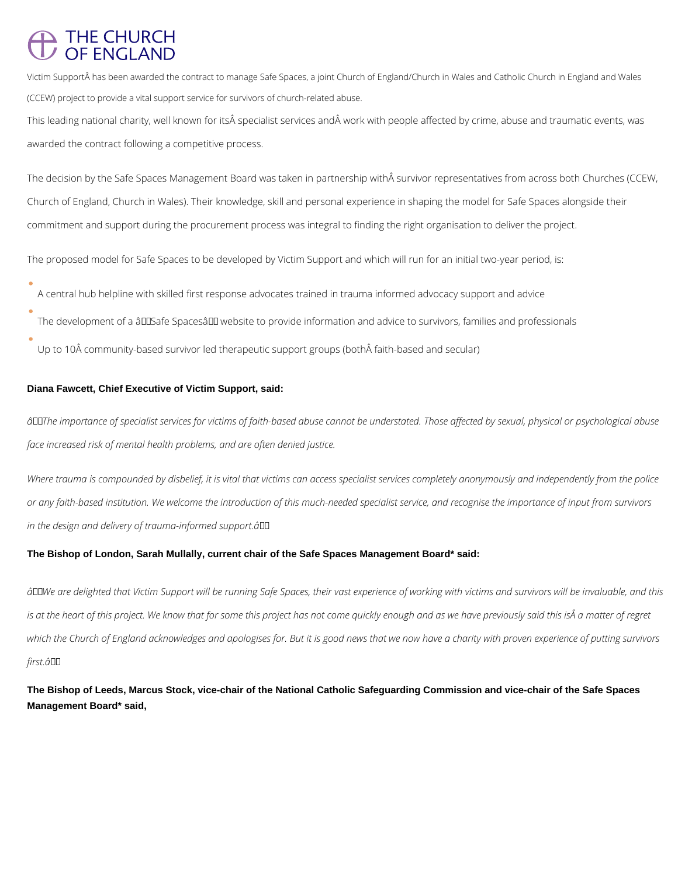# THE CHURCH<br>OF ENGLAND

Victim Support has been awarded the contract to manage Safe Spaces, a joint Church of England/Church in Wales and Catholic Church in England and Wales (CCEW) project to provide a vital support service for survivors of church-related abuse.

This leading national charity, well known for its specialist services and work with people affected by crime, abuse and traumatic events, was awarded the contract following a competitive process.

The decision by the Safe Spaces Management Board was taken in partnership with  $\hat{A}$  survivor representatives from across both Churches (CCEW, Church of England, Church in Wales). Their knowledge, skill and personal experience in shaping the model for Safe Spaces alongside their commitment and support during the procurement process was integral to finding the right organisation to deliver the project.

- A central hub helpline with skilled first response advocates trained in trauma informed advocacy support and advice
- The development of a âDDSafe Spacesâ DD website to provide information and advice to survivors, families and professionals
- Up to 10Šcommunity-based survivor led therapeutic support groups (both faith-based and secular)

The proposed model for Safe Spaces to be developed by Victim Support and which will run for an initial two-year period, is:

### **Diana Fawcett, Chief Executive of Victim Support, said:**

*âThe importance of specialist services for victims of faith-based abuse cannot be understated. Those affected by sexual, physical or psychological abuse face increased risk of mental health problems, and are often denied justice.*

*Where trauma is compounded by disbelief, it is vital that victims can access specialist services completely anonymously and independently from the police or any faith-based institution. We welcome the introduction of this much-needed specialist service, and recognise the importance of input from survivors in the design and delivery of trauma-informed support.â*

### **The Bishop of London, Sarah Mullally, current chair of the Safe Spaces Management Board\* said:**

 $\hat{a}$ □We are delighted that Victim Support will be running Safe Spaces, their vast experience of working with victims and survivors will be invaluable, and this *is at the heart of this project. We know that for some this project has not come quickly enough and as we have previously said this is a matter of regret* which the Church of England acknowledges and apologises for. But it is good news that we now have a charity with proven experience of putting survivors

**The Bishop of Leeds, Marcus Stock, vice-chair of the National Catholic Safeguarding Commission and vice-chair of the Safe Spaces Management Board\* said,**